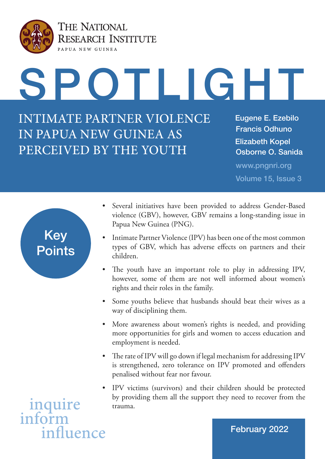

THE NATIONAL **RESEARCH INSTITUTE** PAPUA NEW GUINEA

OTLIGHT

INTIMATE PARTNER VIOLENCE IN PAPUA NEW GUINEA AS PERCEIVED BY THE YOUTH

Eugene E. Ezebilo Francis Odhuno Osborne O. Sanida Elizabeth Kopel

www.pngnri.org Volume 15, Issue 3



- Several initiatives have been provided to address Gender-Based violence (GBV), however, GBV remains a long-standing issue in Papua New Guinea (PNG).
- Intimate Partner Violence (IPV) has been one of the most common types of GBV, which has adverse effects on partners and their children.
- The youth have an important role to play in addressing IPV, however, some of them are not well informed about women's rights and their roles in the family.
- Some youths believe that husbands should beat their wives as a way of disciplining them.
- More awareness about women's rights is needed, and providing more opportunities for girls and women to access education and employment is needed.
- The rate of IPV will go down if legal mechanism for addressing IPV is strengthened, zero tolerance on IPV promoted and offenders penalised without fear nor favour.
- IPV victims (survivors) and their children should be protected by providing them all the support they need to recover from the trauma.

inquire infort influence

## February 2022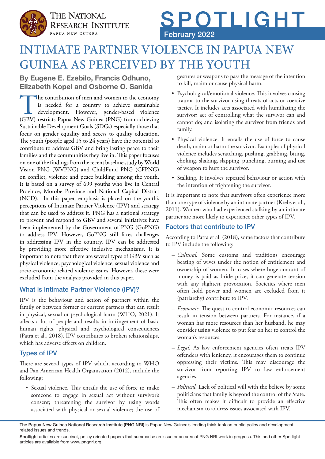



## INTIMATE PARTNER VIOLENCE IN PAPUA NEW GUINEA AS PERCEIVED BY THE YOUTH

## **By Eugene E. Ezebilo, Francis Odhuno, Elizabeth Kopel and Osborne O. Sanida**

The contribution of men and women to the economy<br>is needed for a country to achieve sustainable<br>development. However, gender-based violence<br>(GBV) restricts Papua New Guinea (PNG) from achieving is needed for a country to achieve sustainable development. However, gender-based violence (GBV) restricts Papua New Guinea (PNG) from achieving Sustainable Development Goals (SDGs) especially those that focus on gender equality and access to quality education. The youth (people aged 15 to 24 years) have the potential to contribute to address GBV and bring lasting peace to their families and the communities they live in. This paper focuses on one of the findings from the recent baseline study by World Vision PNG (WVPNG) and ChildFund PNG (CFPNG) on conflict, violence and peace building among the youth. It is based on a survey of 699 youths who live in Central Province, Morobe Province and National Capital District (NCD). In this paper, emphasis is placed on the youth's perceptions of Intimate Partner Violence (IPV) and strategy that can be used to address it. PNG has a national strategy to prevent and respond to GBV and several initiatives have been implemented by the Government of PNG (GoPNG) to address IPV. However, GoPNG still faces challenges in addressing IPV in the country. IPV can be addressed by providing more effective inclusive mechanisms. It is important to note that there are several types of GBV such as physical violence, psychological violence, sexual violence and socio-economic related violence issues. However, these were excluded from the analysis provided in this paper.

### What is Intimate Partner Violence (IPV)?

IPV is the behaviour and action of partners within the family or between former or current partners that can result in physical, sexual or psychological harm (WHO, 2021). It affects a lot of people and results in infringement of basic human rights, physical and psychological consequences (Patra et al., 2018). IPV contributes to broken relationships, which has adverse effects on children.

### Types of IPV

There are several types of IPV which, according to WHO and Pan American Health Organisation (2012), include the following:

• Sexual violence. This entails the use of force to make someone to engage in sexual act without survivor's consent; threatening the survivor by using words associated with physical or sexual violence; the use of gestures or weapons to pass the message of the intention to kill, maim or cause physical harm.

- Psychological/emotional violence. This involves causing trauma to the survivor using threats of acts or coercive tactics. It includes acts associated with humiliating the survivor; act of controlling what the survivor can and cannot do; and isolating the survivor from friends and family.
- Physical violence. It entails the use of force to cause death, maim or harm the survivor. Examples of physical violence includes scratching, pushing, grabbing, biting, choking, shaking, slapping, punching, burning and use of weapon to hurt the survivor.
- Stalking. It involves repeated behaviour or action with the intention of frightening the survivor.

It is important to note that survivors often experience more than one type of violence by an intimate partner (Krebs et al., 2011). Women who had experienced stalking by an intimate partner are more likely to experience other types of IPV.

## Factors that contribute to IPV

According to Patra et al. (2018), some factors that contribute to IPV include the following:

- *Cultural.* Some customs and traditions encourage beating of wives under the notion of entitlement and ownership of women. In cases where huge amount of money is paid as bride price, it can generate tension with any slightest provocation. Societies where men often hold power and women are excluded from it (patriarchy) contribute to IPV.
- *Economic.* The quest to control economic resources can result in tension between partners. For instance, if a woman has more resources than her husband, he may consider using violence to put fear on her to control the woman's resources.
- *Legal.* As law enforcement agencies often treats IPV offenders with leniency, it encourages them to continue oppressing their victims. This may discourage the survivor from reporting IPV to law enforcement agencies.
- *Political.* Lack of political will with the believe by some politicians that family is beyond the control of the State. This often makes it difficult to provide an effective mechanism to address issues associated with IPV.

Spotlight articles are succinct, policy oriented papers that summarise an issue or an area of PNG NRI work in progress. This and other Spotlight articles are available from www.pngnri.org

The Papua New Guinea National Research Institute (PNG NRI) is Papua New Guinea's leading think tank on public policy and development related issues and trends.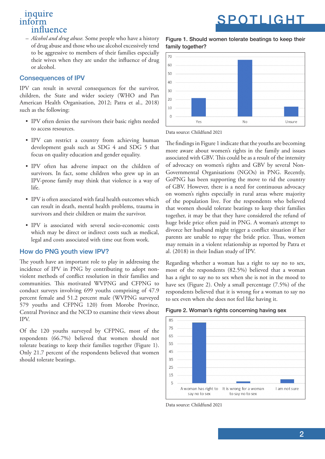– *Alcohol and drug abuse.* Some people who have a history of drug abuse and those who use alcohol excessively tend to be aggressive to members of their families especially their wives when they are under the influence of drug or alcohol.

#### Consequences of IPV

IPV can result in several consequences for the survivor, children, the State and wider society (WHO and Pan American Health Organisation, 2012; Patra et al., 2018) such as the following:

- IPV often denies the survivors their basic rights needed to access resources.
- IPV can restrict a country from achieving human development goals such as SDG 4 and SDG 5 that focus on quality education and gender equality.
- IPV often has adverse impact on the children of survivors. In fact, some children who grew up in an IPV-prone family may think that violence is a way of life.
- IPV is often associated with fatal health outcomes which can result in death, mental health problems, trauma in survivors and their children or maim the survivor.
- IPV is associated with several socio-economic costs which may be direct or indirect costs such as medical, legal and costs associated with time out from work.

#### How do PNG youth view IPV?

The youth have an important role to play in addressing the incidence of IPV in PNG by contributing to adopt nonviolent methods of conflict resolution in their families and communities. This motivated WVPNG and CFPNG to conduct surveys involving 699 youths comprising of 47.9 percent female and 51.2 percent male (WVPNG surveyed 579 youths and CFPNG 120) from Morobe Province, Central Province and the NCD to examine their views about IPV.

Of the 120 youths surveyed by CFPNG, most of the respondents (66.7%) believed that women should not tolerate beatings to keep their families together (Figure 1). Only 21.7 percent of the respondents believed that women should tolerate beatings.

Figure 1. Should women tolerate beatings to keep their family together?



Data source: Childfund 2021

The findings in Figure 1 indicate that the youths are becoming more aware about women's rights in the family and issues associated with GBV. This could be as a result of the intensity of advocacy on women's rights and GBV by several Non-Governmental Organisations (NGOs) in PNG. Recently, GoPNG has been supporting the move to rid the country of GBV. However, there is a need for continuous advocacy on women's rights especially in rural areas where majority of the population live. For the respondents who believed that women should tolerate beatings to keep their families together, it may be that they have considered the refund of huge bride price often paid in PNG. A woman's attempt to divorce her husband might trigger a conflict situation if her parents are unable to repay the bride price. Thus, women may remain in a violent relationship as reported by Patra et al. (2018) in their Indian study of IPV.

Regarding whether a woman has a right to say no to sex, most of the respondents (82.5%) believed that a woman has a right to say no to sex when she is not in the mood to have sex (Figure 2). Only a small percentage (7.5%) of the respondents believed that it is wrong for a woman to say no to sex even when she does not feel like having it.





Data source: Childfund 2021

# SPOTLIGHT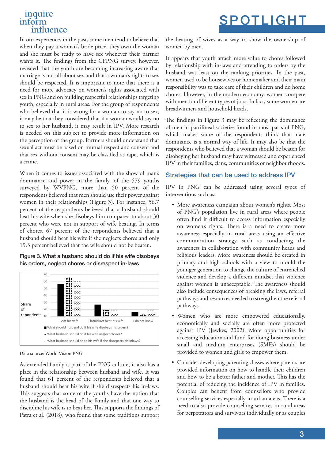In our experience, in the past, some men tend to believe that when they pay a woman's bride price, they own the woman and she must be ready to have sex whenever their partner wants it. The findings from the CFPNG survey, however, revealed that the youth are becoming increasing aware that marriage is not all about sex and that a woman's rights to sex should be respected. It is important to note that there is a need for more advocacy on women's rights associated with sex in PNG and on building respectful relationships targeting youth, especially in rural areas. For the group of respondents who believed that it is wrong for a woman to say no to sex, it may be that they considered that if a woman would say no to sex to her husband, it may result in IPV. More research is needed on this subject to provide more information on the perception of the group. Partners should understand that sexual act must be based on mutual respect and consent and that sex without consent may be classified as rape, which is a crime.

When it comes to issues associated with the show of man's dominance and power in the family, of the 579 youths surveyed by WVPNG, more than 50 percent of the respondents believed that men should use their power against women in their relationships (Figure 3). For instance, 56.7 percent of the respondents believed that a husband should beat his wife when she disobeys him compared to about 30 percent who were not in support of wife beating. In terms of chores, 67 percent of the respondents believed that a husband should beat his wife if she neglects chores and only 19.3 percent believed that the wife should not be beaten.

Figure 3. What a husband should do if his wife disobeys his orders, neglect chores or disrespect in-laws



Data source: World Vision PNG

As extended family is part of the PNG culture, it also has a place in the relationship between husband and wife. It was found that 61 percent of the respondents believed that a husband should beat his wife if she disrespects his in-laws. This suggests that some of the youths have the notion that the husband is the head of the family and that one way to discipline his wife is to beat her. This supports the findings of Patra et al. (2018), who found that some traditions support the beating of wives as a way to show the ownership of women by men.

SPOTLIGHT

It appears that youth attach more value to chores followed by relationship with in-laws and attending to orders by the husband was least on the ranking priorities. In the past, women used to be housewives or homemaker and their main responsibility was to take care of their children and do home chores. However, in the modern economy, women compete with men for different types of jobs. In fact, some women are breadwinners and household heads.

The findings in Figure 3 may be reflecting the dominance of men in patrilineal societies found in most parts of PNG, which makes some of the respondents think that male dominance is a normal way of life. It may also be that the respondents who believed that a woman should be beaten for disobeying her husband may have witnessed and experienced IPV in their families, clans, communities or neighbourhoods.

### Strategies that can be used to address IPV

IPV in PNG can be addressed using several types of interventions such as:

- More awareness campaign about women's rights. Most of PNG's population live in rural areas where people often find it difficult to access information especially on women's rights. There is a need to create more awareness especially in rural areas using an effective communication strategy such as conducting the awareness in collaboration with community heads and religious leaders. More awareness should be created in primary and high schools with a view to mould the younger generation to change the culture of entrenched violence and develop a different mindset that violence against women is unacceptable. The awareness should also include consequences of breaking the laws, referral pathways and resources needed to strengthen the referral pathways.
- Women who are more empowered educationally, economically and socially are often more protected against IPV (Jewkes, 2002). More opportunities for accessing education and fund for doing business under small and medium enterprises (SMEs) should be provided to women and girls to empower them.
- Consider developing parenting classes where parents are provided information on how to handle their children and how to be a better father and mother. This has the potential of reducing the incidence of IPV in families. Couples can benefit from counsellors who provide counselling services especially in urban areas. There is a need to also provide counselling services in rural areas for perpetrators and survivors individually or as couples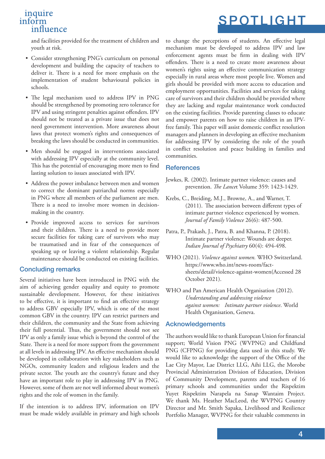and facilities provided for the treatment of children and youth at risk.

- Consider strengthening PNG's curriculum on personal development and building the capacity of teachers to deliver it. There is a need for more emphasis on the implementation of student behavioural policies in schools.
- The legal mechanism used to address IPV in PNG should be strengthened by promoting zero tolerance for IPV and using stringent penalties against offenders. IPV should not be treated as a private issue that does not need government intervention. More awareness about laws that protect women's rights and consequences of breaking the laws should be conducted in communities.
- Men should be engaged in interventions associated with addressing IPV especially at the community level. This has the potential of encouraging more men to find lasting solution to issues associated with IPV.
- Address the power imbalance between men and women to correct the dominant patriarchal norms especially in PNG where all members of the parliament are men. There is a need to involve more women in decisionmaking in the country.
- Provide improved access to services for survivors and their children. There is a need to provide more secure facilities for taking care of survivors who may be traumatised and in fear of the consequences of speaking up or leaving a violent relationship. Regular maintenance should be conducted on existing facilities.

#### Concluding remarks

Several initiatives have been introduced in PNG with the aim of achieving gender equality and equity to promote sustainable development. However, for these initiatives to be effective, it is important to find an effective strategy to address GBV especially IPV, which is one of the most common GBV in the country. IPV can restrict partners and their children, the community and the State from achieving their full potential. Thus, the government should not see IPV as only a family issue which is beyond the control of the State. There is a need for more support from the government at all levels in addressing IPV. An effective mechanism should be developed in collaboration with key stakeholders such as NGOs, community leaders and religious leaders and the private sector. The youth are the country's future and they have an important role to play in addressing IPV in PNG. However, some of them are not well informed about women's rights and the role of women in the family.

If the intention is to address IPV, information on IPV must be made widely available in primary and high schools to change the perceptions of students. An effective legal mechanism must be developed to address IPV and law enforcement agents must be firm in dealing with IPV offenders. There is a need to create more awareness about women's rights using an effective communication strategy especially in rural areas where most people live. Women and girls should be provided with more access to education and employment opportunities. Facilities and services for taking care of survivors and their children should be provided where they are lacking and regular maintenance work conducted on the existing facilities. Provide parenting classes to educate and empower parents on how to raise children in an IPVfree family. This paper will assist domestic conflict resolution managers and planners in developing an effective mechanism for addressing IPV by considering the role of the youth in conflict resolution and peace building in families and communities.

#### **References**

- Jewkes, R. (2002). Intimate partner violence: causes and prevention. *The Lance*t Volume 359: 1423-1429.
- Krebs, C., Breiding, M.J., Browne, A., and Warner, T. (2011). The association between different types of intimate partner violence experienced by women. *Journal of Family Violence* 26(6): 487-500.
- Patra, P., Prakash, J., Patra, B. and Khanna, P. (2018). Intimate partner violence: Wounds are deeper. *Indian Journal of Psychiatry* 60(4): 494-498.
- WHO (2021). *Violence against women.* WHO Switzerland. https://www.who.int/news-room/factsheets/detail/violence-against-women(Accessed 28 October 2021).
- WHO and Pan American Health Organisation (2012). *Understanding and addressing violence against women: Intimate partner violence*. World Health Organisation, Geneva.

### Acknowledgements

The authors would like to thank European Union for financial support; World Vision PNG (WVPNG) and Childfund PNG (CFPNG) for providing data used in this study. We would like to acknowledge the support of the Office of the Lae City Mayor, Lae District LLG, Aihi LLG, the Morobe Provincial Administration Division of Education, Division of Community Development, parents and teachers of 16 primary schools and communities under the Rispektim Yuyet Rispektim Narapela na Sanap Wantaim Project. We thank Ms. Heather MacLeod, the WVPNG Country Director and Mr. Smith Sapaka, Livelihood and Resilience Portfolio Manager, WVPNG for their valuable comments in

## SPOTLIGHT